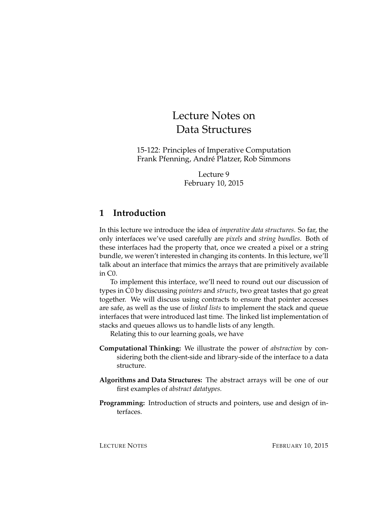# Lecture Notes on Data Structures

15-122: Principles of Imperative Computation Frank Pfenning, André Platzer, Rob Simmons

> Lecture 9 February 10, 2015

# **1 Introduction**

In this lecture we introduce the idea of *imperative data structures*. So far, the only interfaces we've used carefully are *pixels* and *string bundles*. Both of these interfaces had the property that, once we created a pixel or a string bundle, we weren't interested in changing its contents. In this lecture, we'll talk about an interface that mimics the arrays that are primitively available in C0.

To implement this interface, we'll need to round out our discussion of types in C0 by discussing *pointers* and *structs*, two great tastes that go great together. We will discuss using contracts to ensure that pointer accesses are safe, as well as the use of *linked lists* to implement the stack and queue interfaces that were introduced last time. The linked list implementation of stacks and queues allows us to handle lists of any length.

Relating this to our learning goals, we have

- **Computational Thinking:** We illustrate the power of *abstraction* by considering both the client-side and library-side of the interface to a data structure.
- **Algorithms and Data Structures:** The abstract arrays will be one of our first examples of *abstract datatypes.*
- **Programming:** Introduction of structs and pointers, use and design of interfaces.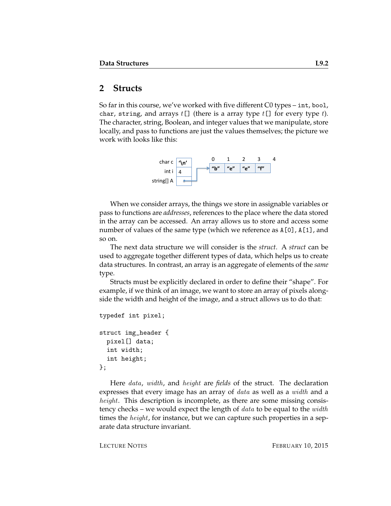## **2 Structs**

So far in this course, we've worked with five different C0 types – int, bool, char, string, and arrays  $t[]$  (there is a array type  $t[]$  for every type  $t$ ). The character, string, Boolean, and integer values that we manipulate, store locally, and pass to functions are just the values themselves; the picture we work with looks like this:



When we consider arrays, the things we store in assignable variables or pass to functions are *addresses*, references to the place where the data stored in the array can be accessed. An array allows us to store and access some number of values of the same type (which we reference as A[0], A[1], and so on.

The next data structure we will consider is the *struct*. A *struct* can be used to aggregate together different types of data, which helps us to create data structures. In contrast, an array is an aggregate of elements of the *same* type.

Structs must be explicitly declared in order to define their "shape". For example, if we think of an image, we want to store an array of pixels alongside the width and height of the image, and a struct allows us to do that:

```
typedef int pixel;
struct img_header {
 pixel[] data;
  int width;
  int height;
};
```
Here data, width, and height are *fields* of the struct. The declaration expresses that every image has an array of *data* as well as a *width* and a height. This description is incomplete, as there are some missing consistency checks – we would expect the length of  $data$  to be equal to the  $width$ times the *height*, for instance, but we can capture such properties in a separate data structure invariant.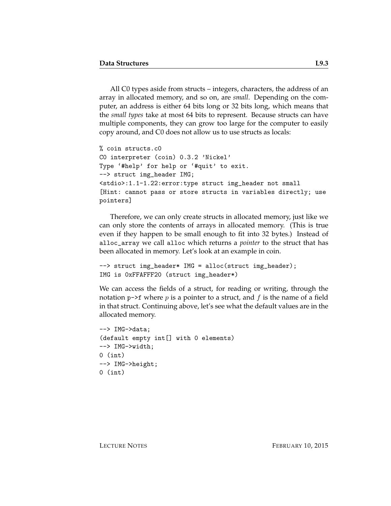All C0 types aside from structs – integers, characters, the address of an array in allocated memory, and so on, are *small*. Depending on the computer, an address is either 64 bits long or 32 bits long, which means that the *small types* take at most 64 bits to represent. Because structs can have multiple components, they can grow too large for the computer to easily copy around, and C0 does not allow us to use structs as locals:

```
% coin structs.c0
C0 interpreter (coin) 0.3.2 'Nickel'
Type '#help' for help or '#quit' to exit.
--> struct img_header IMG;
<stdio>:1.1-1.22:error:type struct img_header not small
[Hint: cannot pass or store structs in variables directly; use
pointers]
```
Therefore, we can only create structs in allocated memory, just like we can only store the contents of arrays in allocated memory. (This is true even if they happen to be small enough to fit into 32 bytes.) Instead of alloc\_array we call alloc which returns a *pointer* to the struct that has been allocated in memory. Let's look at an example in coin.

```
--> struct img_header* IMG = alloc(struct img_header);
IMG is 0xFFAFFF20 (struct img_header*)
```
We can access the fields of a struct, for reading or writing, through the notation p->f where  $p$  is a pointer to a struct, and  $f$  is the name of a field in that struct. Continuing above, let's see what the default values are in the allocated memory.

```
--> IMG->data;
(default empty int[] with 0 elements)
--> IMG->width;
0 (int)
--> IMG->height;
0 (int)
```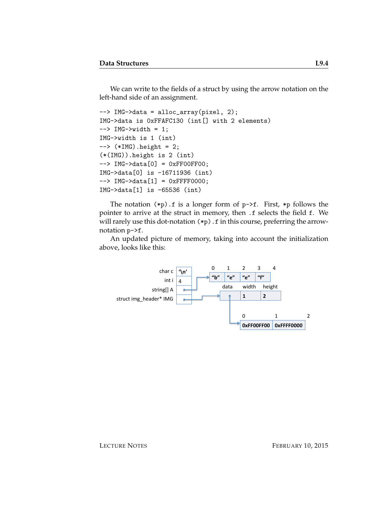We can write to the fields of a struct by using the arrow notation on the left-hand side of an assignment.

```
--> IMG->data = alloc_array(pixel, 2);
IMG->data is 0xFFAFC130 (int[] with 2 elements)
\leftarrow > IMG\leftarrow > width = 1;
IMG->width is 1 (int)
\leftarrow > (*IMG).height = 2;
(*(IMG)).height is 2 (int)
--> IMG->data[0] = 0xFF00FF00;
IMG->data[0] is -16711936 (int)
--> IMG->data[1] = 0xFFFF0000;
IMG->data[1] is -65536 (int)
```
The notation  $(*p)$ . f is a longer form of  $p\rightarrow f$ . First,  $*p$  follows the pointer to arrive at the struct in memory, then .f selects the field f. We will rarely use this dot-notation  $(*p)$ . f in this course, preferring the arrownotation p->f.

An updated picture of memory, taking into account the initialization above, looks like this:

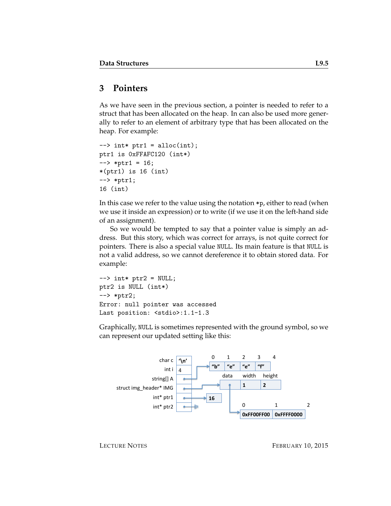## **3 Pointers**

As we have seen in the previous section, a pointer is needed to refer to a struct that has been allocated on the heap. In can also be used more generally to refer to an element of arbitrary type that has been allocated on the heap. For example:

```
\rightarrow int* ptr1 = alloc(int);
ptr1 is 0xFFAFC120 (int*)
\leftarrow *ptr1 = 16;
*(ptr1) is 16 (int)
--> *ptr1;
16 (int)
```
In this case we refer to the value using the notation \*p, either to read (when we use it inside an expression) or to write (if we use it on the left-hand side of an assignment).

So we would be tempted to say that a pointer value is simply an address. But this story, which was correct for arrays, is not quite correct for pointers. There is also a special value NULL. Its main feature is that NULL is not a valid address, so we cannot dereference it to obtain stored data. For example:

```
\leftarrow > int* ptr2 = NULL;
ptr2 is NULL (int*)
--> *ptr2;
Error: null pointer was accessed
Last position: <stdio>:1.1-1.3
```
Graphically, NULL is sometimes represented with the ground symbol, so we can represent our updated setting like this:

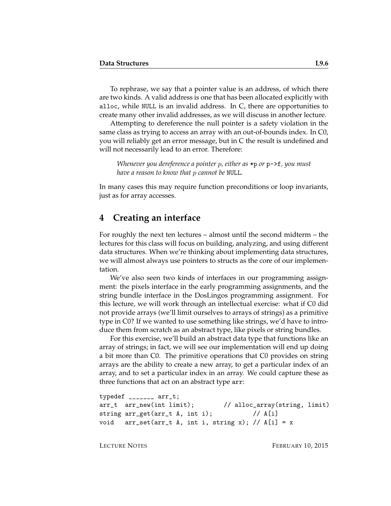To rephrase, we say that a pointer value is an address, of which there are two kinds. A valid address is one that has been allocated explicitly with alloc, while NULL is an invalid address. In C, there are opportunities to create many other invalid addresses, as we will discuss in another lecture.

Attempting to dereference the null pointer is a safety violation in the same class as trying to access an array with an out-of-bounds index. In C0, you will reliably get an error message, but in C the result is undefined and will not necessarily lead to an error. Therefore:

*Whenever you dereference a pointer* p*, either as* \*p *or* p->f*, you must have a reason to know that* p *cannot be* NULL*.*

In many cases this may require function preconditions or loop invariants, just as for array accesses.

#### **4 Creating an interface**

For roughly the next ten lectures – almost until the second midterm – the lectures for this class will focus on building, analyzing, and using different data structures. When we're thinking about implementing data structures, we will almost always use pointers to structs as the core of our implementation.

We've also seen two kinds of interfaces in our programming assignment: the pixels interface in the early programming assignments, and the string bundle interface in the DosLingos programming assignment. For this lecture, we will work through an intellectual exercise: what if C0 did not provide arrays (we'll limit ourselves to arrays of strings) as a primitive type in C0? If we wanted to use something like strings, we'd have to introduce them from scratch as an abstract type, like pixels or string bundles.

For this exercise, we'll build an abstract data type that functions like an array of strings; in fact, we will see our implementation will end up doing a bit more than C0. The primitive operations that C0 provides on string arrays are the ability to create a new array, to get a particular index of an array, and to set a particular index in an array. We could capture these as three functions that act on an abstract type arr:

```
typedef _______ arr_t;
arr_t arr_new(int limit); // alloc_array(string, limit)
string arr\_get(arr_t A, int i); // A[i]
void arr_set(arr_t A, int i, string x); // A[i] = x
```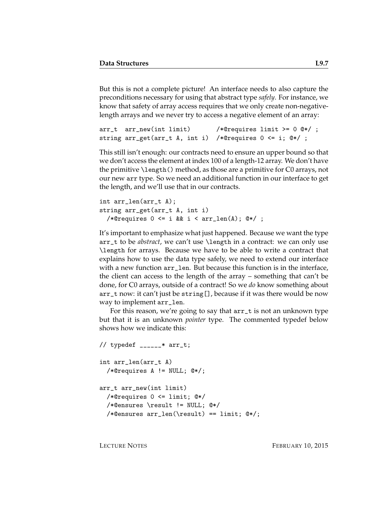But this is not a complete picture! An interface needs to also capture the preconditions necessary for using that abstract type *safely*. For instance, we know that safety of array access requires that we only create non-negativelength arrays and we never try to access a negative element of an array:

```
arr_t arr_new(int limit) /*@requires limit >= 0 @*/ ;
string arr_get(arr_t A, int i) /*@requires 0 <= i; @*/ ;
```
This still isn't enough: our contracts need to ensure an upper bound so that we don't access the element at index 100 of a length-12 array. We don't have the primitive \length() method, as those are a primitive for C0 arrays, not our new arr type. So we need an additional function in our interface to get the length, and we'll use that in our contracts.

```
int arr_len(arr_t A);
string arr_get(arr_t A, int i)
  /*@requires 0 \leq i && i \leq \arcsin(1); @*/;
```
It's important to emphasize what just happened. Because we want the type arr\_t to be *abstract*, we can't use \length in a contract: we can only use \length for arrays. Because we have to be able to write a contract that explains how to use the data type safely, we need to extend our interface with a new function arr\_len. But because this function is in the interface, the client can access to the length of the array – something that can't be done, for C0 arrays, outside of a contract! So we *do* know something about arr\_t now: it can't just be string[], because if it was there would be now way to implement arr\_len.

For this reason, we're going to say that arr\_t is not an unknown type but that it is an unknown *pointer* type. The commented typedef below shows how we indicate this:

```
// typedef _{---} * arr_t;
int arr_len(arr_t A)
  /*@requires A != NULL; @*/;
arr_t arr_new(int limit)
  /*@requires 0 <= limit; @*/
  /*@ensures \result != NULL; @*/
  /*Qensures arr_length(\result) == limit; @*/;
```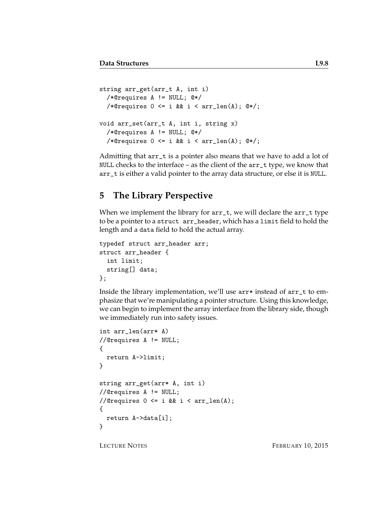```
string arr_get(arr_t A, int i)
  /*@requires A != NULL; @*/
  /*@requires 0 \leq i && i < arr_len(A); @*/;
void arr_set(arr_t A, int i, string x)
  /*@requires A != NULL; @*/
  /*@requires 0 \leq i && i < arr_len(A); @*/;
```
Admitting that arr\_t is a pointer also means that we have to add a lot of NULL checks to the interface – as the client of the arr\_t type, we know that arr\_t is either a valid pointer to the array data structure, or else it is NULL.

## **5 The Library Perspective**

When we implement the library for  $arr_t$ , we will declare the  $arr_t$  type to be a pointer to a struct arr\_header, which has a limit field to hold the length and a data field to hold the actual array.

```
typedef struct arr_header arr;
struct arr_header {
  int limit;
  string[] data;
};
```
Inside the library implementation, we'll use arr\* instead of arr\_t to emphasize that we're manipulating a pointer structure. Using this knowledge, we can begin to implement the array interface from the library side, though we immediately run into safety issues.

```
int arr_len(arr* A)
//@requires A != NULL;
{
  return A->limit;
}
string arr_get(arr* A, int i)
//@requires A != NULL;
//@requires 0 \leq i & i \leq \arctan(A);
{
 return A->data[i];
}
```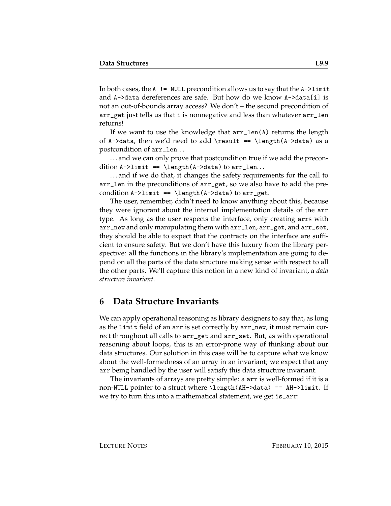In both cases, the  $A$  ! = NULL precondition allows us to say that the  $A$ ->limit and A->data dereferences are safe. But how do we know A->data[i] is not an out-of-bounds array access? We don't – the second precondition of arr\_get just tells us that i is nonnegative and less than whatever arr\_len returns!

If we want to use the knowledge that arr\_len(A) returns the length of A->data, then we'd need to add \result == \length(A->data) as a postcondition of arr\_len. . .

... and we can only prove that postcondition true if we add the precondition  $A \rightarrow \text{length}(A \rightarrow \text{data})$  to  $\text{arr\_len} \dots$ 

. . . and if we do that, it changes the safety requirements for the call to arr\_len in the preconditions of arr\_get, so we also have to add the precondition  $A \rightarrow I$ imit == \length( $A \rightarrow A$ ata) to arr\_get.

The user, remember, didn't need to know anything about this, because they were ignorant about the internal implementation details of the arr type. As long as the user respects the interface, only creating arrs with arr\_new and only manipulating them with arr\_len, arr\_get, and arr\_set, they should be able to expect that the contracts on the interface are sufficient to ensure safety. But we don't have this luxury from the library perspective: all the functions in the library's implementation are going to depend on all the parts of the data structure making sense with respect to all the other parts. We'll capture this notion in a new kind of invariant, a *data structure invariant*.

#### **6 Data Structure Invariants**

We can apply operational reasoning as library designers to say that, as long as the limit field of an arr is set correctly by arr\_new, it must remain correct throughout all calls to arr\_get and arr\_set. But, as with operational reasoning about loops, this is an error-prone way of thinking about our data structures. Our solution in this case will be to capture what we know about the well-formedness of an array in an invariant; we expect that any arr being handled by the user will satisfy this data structure invariant.

The invariants of arrays are pretty simple: a arr is well-formed if it is a non-NULL pointer to a struct where \length(AH->data) == AH->limit. If we try to turn this into a mathematical statement, we get is\_arr: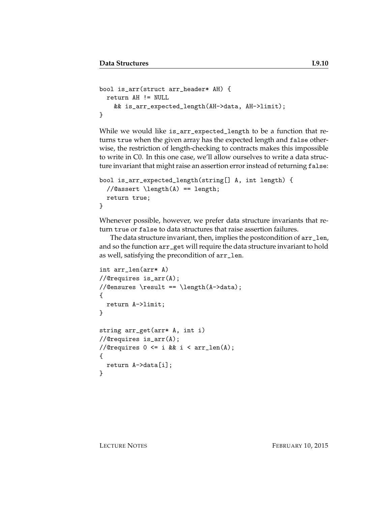```
bool is_arr(struct arr_header* AH) {
 return AH != NULL
    && is_arr_expected_length(AH->data, AH->limit);
}
```
While we would like is\_arr\_expected\_length to be a function that returns true when the given array has the expected length and false otherwise, the restriction of length-checking to contracts makes this impossible to write in C0. In this one case, we'll allow ourselves to write a data structure invariant that might raise an assertion error instead of returning false:

```
bool is_arr_expected_length(string[] A, int length) {
  //@assert \length(A) == length;
  return true;
}
```
Whenever possible, however, we prefer data structure invariants that return true or false to data structures that raise assertion failures.

The data structure invariant, then, implies the postcondition of arr\_len, and so the function arr\_get will require the data structure invariant to hold as well, satisfying the precondition of arr\_len.

```
int arr_len(arr* A)
//@requires is_arr(A);
//@ensures \result == \length(A->data);
{
  return A->limit;
}
string arr_get(arr* A, int i)
//@requires is_arr(A);
//@requires 0 \leq i & i \leq arr\_len(A);
{
  return A->data[i];
}
```